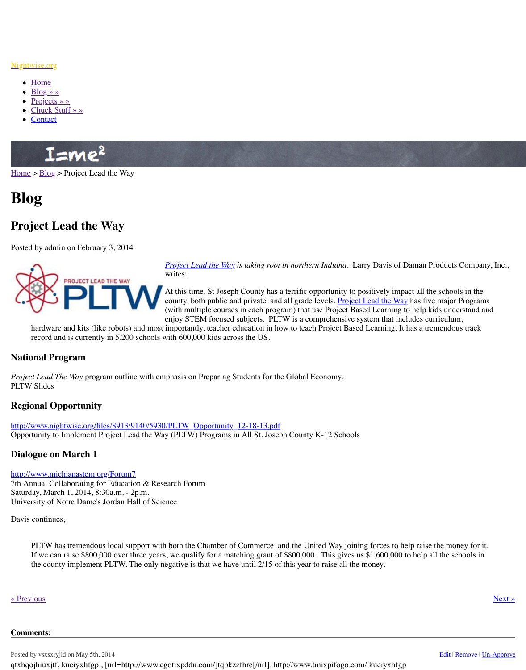

*<u>Project Lead the Way</u> is taking root in northern Indiana.* Larry Davis Company, Inc., Inc., Inc., Inc., Inc., Inc., Inc., Inc., Inc., Inc., Inc., Inc., Inc., Inc., Inc., Inc., Inc., Inc., Inc., Inc., Inc., Inc., Inc., In writes:

At this time, St Joseph County has a terrific opportunity county, both public and private and all grade (with multiple courses in each program) that enjoy STEM focused subjects. PLTW is a comprehensive system of  $\overline{C}$ 

hardware and kits (like robots) and most importantly, teacher education in how to teac record and is currently in 5,200 schools with 600,000 kids across the US.

## **Nati[onal Pr](http://www.nightwise.org/blog/)[ogr](http://www.nightwise.org/projects/)am**

*Proje[ct Lead The Way](http://www.nightwise.org/chuck-stuff/)* program outline with emphasis on Preparing Students for the Global I PLT[W Slides](http://www.nightwise.org/contact/)

# **Regional Opportunity**

http://www.nightwise.org/files/8913/9140/5930/PLTW\_Opportunity\_12-18-13.pdf [Oppor](http://www.nightwise.org/)tu[nity to](http://www.nightwise.org/blog/) Implement Project Lead the Way (PLTW) Programs in All St. Joseph County

## **Dialogue on March 1**

#### http://www.michianastem.org/Forum7

7th Annual Collaborating for Education & Research Forum Saturday, March 1, 2014, 8:30a.m. - 2p.m. University of Notre Dame's Jordan Hall of Science

Davis continues,

[PLTW has tremendous local support with both the Chamber of](http://www.pltw.org/) Commerce and the United Way If we can raise  $$800,000$  over three years, we qualify for a matching grant of  $$800,000$ the county implement PLTW. The only negative is that we have until 2/15 of this year

#### « Previous » Next » Next » Next » Next » Next » Next » Next » Next » Next » Next » Next » Next » Next » Next » Next » Next » Next » Next » Next » Next » Next » Next » Next » Next » Next » Next » Next » Next » Next » Next »

#### **Comments:**

Posted by vsxsxryjid on May 5th, 2014 qtxhqojhiuxjtf, kuciyxhfgp, [url=http://www.cgotixpddu.com/]tqbkzzfhre[/url], http://www.